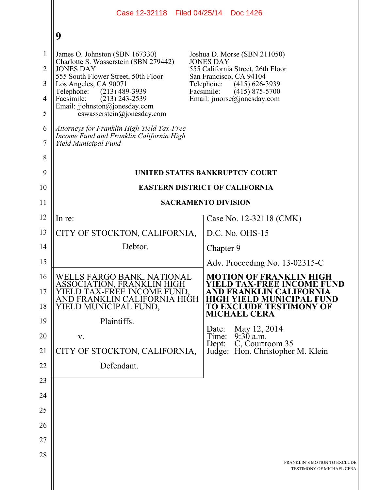|                                                                           | Case 12-32118 Filed 04/25/14 Doc 1426                                                                                                                                                                                                                                                                                                                                                                            |                                                                                                                                                                                                                    |  |
|---------------------------------------------------------------------------|------------------------------------------------------------------------------------------------------------------------------------------------------------------------------------------------------------------------------------------------------------------------------------------------------------------------------------------------------------------------------------------------------------------|--------------------------------------------------------------------------------------------------------------------------------------------------------------------------------------------------------------------|--|
|                                                                           | 9                                                                                                                                                                                                                                                                                                                                                                                                                |                                                                                                                                                                                                                    |  |
| $\mathbf{1}$<br>$\overline{2}$<br>3<br>$\overline{4}$<br>5<br>6<br>7<br>8 | James O. Johnston (SBN 167330)<br>Charlotte S. Wasserstein (SBN 279442)<br><b>JONES DAY</b><br>555 South Flower Street, 50th Floor<br>Los Angeles, CA 90071<br>Telephone:<br>$(213)$ 489-3939<br>Facsimile:<br>$(213)$ 243-2539<br>Email: jjohnston@jonesday.com<br>cswasserstein@jonesday.com<br>Attorneys for Franklin High Yield Tax-Free<br>Income Fund and Franklin California High<br>Yield Municipal Fund | Joshua D. Morse (SBN 211050)<br><b>JONES DAY</b><br>555 California Street, 26th Floor<br>San Francisco, CA 94104<br>Telephone:<br>$(415)$ 626-3939<br>Facsimile:<br>$(415)$ 875-5700<br>Email: imorse@jonesday.com |  |
| 9                                                                         |                                                                                                                                                                                                                                                                                                                                                                                                                  | UNITED STATES BANKRUPTCY COURT                                                                                                                                                                                     |  |
| 10                                                                        | <b>EASTERN DISTRICT OF CALIFORNIA</b>                                                                                                                                                                                                                                                                                                                                                                            |                                                                                                                                                                                                                    |  |
| 11                                                                        |                                                                                                                                                                                                                                                                                                                                                                                                                  | <b>SACRAMENTO DIVISION</b>                                                                                                                                                                                         |  |
| 12                                                                        | In re:                                                                                                                                                                                                                                                                                                                                                                                                           | Case No. 12-32118 (CMK)                                                                                                                                                                                            |  |
| 13                                                                        | CITY OF STOCKTON, CALIFORNIA,                                                                                                                                                                                                                                                                                                                                                                                    | $D.C. No. OHS-15$                                                                                                                                                                                                  |  |
| 14                                                                        | Debtor.                                                                                                                                                                                                                                                                                                                                                                                                          | Chapter 9                                                                                                                                                                                                          |  |
| 15                                                                        |                                                                                                                                                                                                                                                                                                                                                                                                                  | Adv. Proceeding No. $13-02315-C$                                                                                                                                                                                   |  |
| 16<br>17<br>18                                                            | WELLS FARGO BANK, NATIONAL<br>ASSOCIATION, FRANKLIN HIGH<br>LD TAX-FREE INCOME FUND.<br>AND FRANKLIN CALIFORNIA HIGH<br>YIELD MUNICIPAL FUND,                                                                                                                                                                                                                                                                    | <b>MOTION OF FRANKLIN HIGH</b><br><b>YIELD TAX-FREE INCOME FUND</b><br>HIGH YIELD MUNICIPAL FUND<br><b>TO EXCLUDE TESTIMONY OF</b><br><b>MICHAEL CERA</b>                                                          |  |
| 19                                                                        | Plaintiffs.                                                                                                                                                                                                                                                                                                                                                                                                      | May 12, 2014<br>Date:                                                                                                                                                                                              |  |
| 20                                                                        | V.                                                                                                                                                                                                                                                                                                                                                                                                               | $9:30$ a.m.<br>Time:<br>C, Courtroom 35<br>Dept:                                                                                                                                                                   |  |
| 21                                                                        | CITY OF STOCKTON, CALIFORNIA,                                                                                                                                                                                                                                                                                                                                                                                    | Judge: Hon. Christopher M. Klein                                                                                                                                                                                   |  |
| 22                                                                        | Defendant.                                                                                                                                                                                                                                                                                                                                                                                                       |                                                                                                                                                                                                                    |  |
| 23                                                                        |                                                                                                                                                                                                                                                                                                                                                                                                                  |                                                                                                                                                                                                                    |  |
| 24                                                                        |                                                                                                                                                                                                                                                                                                                                                                                                                  |                                                                                                                                                                                                                    |  |
| 25                                                                        |                                                                                                                                                                                                                                                                                                                                                                                                                  |                                                                                                                                                                                                                    |  |
| 26                                                                        |                                                                                                                                                                                                                                                                                                                                                                                                                  |                                                                                                                                                                                                                    |  |
| 27                                                                        |                                                                                                                                                                                                                                                                                                                                                                                                                  |                                                                                                                                                                                                                    |  |
| 28                                                                        |                                                                                                                                                                                                                                                                                                                                                                                                                  | FRANKLIN'S MOTION TO EXCLUDE<br>TESTIMONY OF MICHAEL CERA                                                                                                                                                          |  |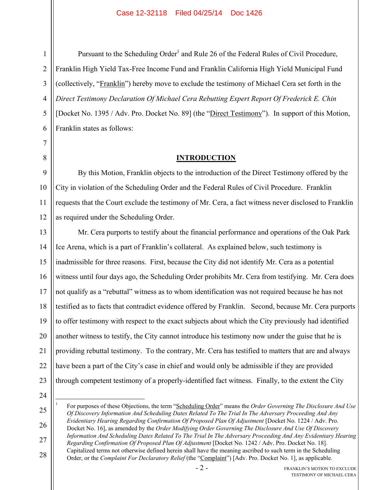Pursuant to the Scheduling Order<sup>1</sup> and Rule 26 of the Federal Rules of Civil Procedure, Franklin High Yield Tax-Free Income Fund and Franklin California High Yield Municipal Fund (collectively, "Franklin") hereby move to exclude the testimony of Michael Cera set forth in the *Direct Testimony Declaration Of Michael Cera Rebutting Expert Report Of Frederick E. Chin*  [Docket No. 1395 / Adv. Pro. Docket No. 89] (the "Direct Testimony"). In support of this Motion, Franklin states as follows:

## **INTRODUCTION**

By this Motion, Franklin objects to the introduction of the Direct Testimony offered by the City in violation of the Scheduling Order and the Federal Rules of Civil Procedure. Franklin requests that the Court exclude the testimony of Mr. Cera, a fact witness never disclosed to Franklin as required under the Scheduling Order.

Mr. Cera purports to testify about the financial performance and operations of the Oak Park Ice Arena, which is a part of Franklin's collateral. As explained below, such testimony is inadmissible for three reasons. First, because the City did not identify Mr. Cera as a potential witness until four days ago, the Scheduling Order prohibits Mr. Cera from testifying. Mr. Cera does not qualify as a "rebuttal" witness as to whom identification was not required because he has not testified as to facts that contradict evidence offered by Franklin. Second, because Mr. Cera purports to offer testimony with respect to the exact subjects about which the City previously had identified another witness to testify, the City cannot introduce his testimony now under the guise that he is providing rebuttal testimony. To the contrary, Mr. Cera has testified to matters that are and always have been a part of the City's case in chief and would only be admissible if they are provided through competent testimony of a properly-identified fact witness. Finally, to the extent the City

24

 $\overline{a}$ 

25

26

27

1 For purposes of these Objections, the term "Scheduling Order" means the *Order Governing The Disclosure And Use Of Discovery Information And Scheduling Dates Related To The Trial In The Adversary Proceeding And Any Evidentiary Hearing Regarding Confirmation Of Proposed Plan Of Adjustment* [Docket No. 1224 / Adv. Pro. Docket No. 16], as amended by the *Order Modifying Order Governing The Disclosure And Use Of Discovery Information And Scheduling Dates Related To The Trial In The Adversary Proceeding And Any Evidentiary Hearing* 

*Regarding Confirmation Of Proposed Plan Of Adjustment* [Docket No. 1242 / Adv. Pro. Docket No. 18]. Capitalized terms not otherwise defined herein shall have the meaning ascribed to such term in the Scheduling

28 Order, or the *Complaint For Declaratory Relief* (the "Complaint") [Adv. Pro. Docket No. 1], as applicable.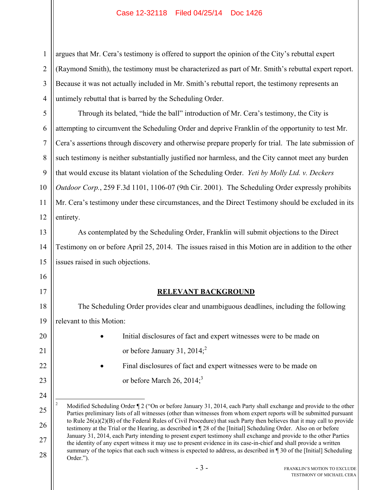1 2 3 4 argues that Mr. Cera's testimony is offered to support the opinion of the City's rebuttal expert (Raymond Smith), the testimony must be characterized as part of Mr. Smith's rebuttal expert report. Because it was not actually included in Mr. Smith's rebuttal report, the testimony represents an untimely rebuttal that is barred by the Scheduling Order.

5 6 7 8 9 10 11 12 Through its belated, "hide the ball" introduction of Mr. Cera's testimony, the City is attempting to circumvent the Scheduling Order and deprive Franklin of the opportunity to test Mr. Cera's assertions through discovery and otherwise prepare properly for trial. The late submission of such testimony is neither substantially justified nor harmless, and the City cannot meet any burden that would excuse its blatant violation of the Scheduling Order. *Yeti by Molly Ltd. v. Deckers Outdoor Corp.*, 259 F.3d 1101, 1106-07 (9th Cir. 2001). The Scheduling Order expressly prohibits Mr. Cera's testimony under these circumstances, and the Direct Testimony should be excluded in its entirety.

13 14 15 As contemplated by the Scheduling Order, Franklin will submit objections to the Direct Testimony on or before April 25, 2014. The issues raised in this Motion are in addition to the other issues raised in such objections.

## **RELEVANT BACKGROUND**

18 19 The Scheduling Order provides clear and unambiguous deadlines, including the following relevant to this Motion:

16

17

20

21

22

23

24

 Initial disclosures of fact and expert witnesses were to be made on or before January 31,  $2014$ ;<sup>2</sup>

 Final disclosures of fact and expert witnesses were to be made on or before March 26, 2014; $3$ 

<sup>25</sup> 26 27 28  $\overline{a}$ 2 Modified Scheduling Order ¶ 2 ("On or before January 31, 2014, each Party shall exchange and provide to the other Parties preliminary lists of all witnesses (other than witnesses from whom expert reports will be submitted pursuant to Rule 26(a)(2)(B) of the Federal Rules of Civil Procedure) that such Party then believes that it may call to provide testimony at the Trial or the Hearing, as described in ¶ 28 of the [Initial] Scheduling Order. Also on or before January 31, 2014, each Party intending to present expert testimony shall exchange and provide to the other Parties the identity of any expert witness it may use to present evidence in its case-in-chief and shall provide a written summary of the topics that each such witness is expected to address, as described in ¶ 30 of the [Initial] Scheduling Order.").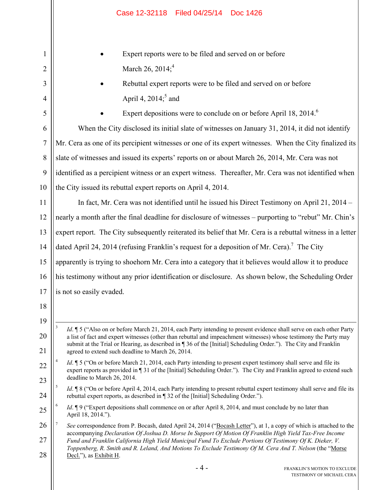|                | Filed 04/25/14<br>Case 12-32118<br>Doc 1426                                                                                                                                                                                                     |  |  |  |
|----------------|-------------------------------------------------------------------------------------------------------------------------------------------------------------------------------------------------------------------------------------------------|--|--|--|
| 1              | Expert reports were to be filed and served on or before                                                                                                                                                                                         |  |  |  |
| $\overline{2}$ | March 26, 2014; <sup>4</sup>                                                                                                                                                                                                                    |  |  |  |
| 3              | Rebuttal expert reports were to be filed and served on or before                                                                                                                                                                                |  |  |  |
| $\overline{4}$ | April 4, $2014$ <sup>5</sup> and                                                                                                                                                                                                                |  |  |  |
| 5              | Expert depositions were to conclude on or before April 18, 2014. <sup>6</sup>                                                                                                                                                                   |  |  |  |
| 6              | When the City disclosed its initial slate of witnesses on January 31, 2014, it did not identify                                                                                                                                                 |  |  |  |
| $\overline{7}$ | Mr. Cera as one of its percipient witnesses or one of its expert witnesses. When the City finalized its                                                                                                                                         |  |  |  |
| 8              | slate of witnesses and issued its experts' reports on or about March 26, 2014, Mr. Cera was not                                                                                                                                                 |  |  |  |
| 9              | identified as a percipient witness or an expert witness. Thereafter, Mr. Cera was not identified when                                                                                                                                           |  |  |  |
| 10             | the City issued its rebuttal expert reports on April 4, 2014.                                                                                                                                                                                   |  |  |  |
| 11             | In fact, Mr. Cera was not identified until he issued his Direct Testimony on April 21, 2014 -                                                                                                                                                   |  |  |  |
| 12             | nearly a month after the final deadline for disclosure of witnesses - purporting to "rebut" Mr. Chin's                                                                                                                                          |  |  |  |
| 13             | expert report. The City subsequently reiterated its belief that Mr. Cera is a rebuttal witness in a letter                                                                                                                                      |  |  |  |
| 14             | dated April 24, 2014 (refusing Franklin's request for a deposition of Mr. Cera). <sup>7</sup> The City                                                                                                                                          |  |  |  |
| 15             | apparently is trying to shoehorn Mr. Cera into a category that it believes would allow it to produce                                                                                                                                            |  |  |  |
| 16             | his testimony without any prior identification or disclosure. As shown below, the Scheduling Order                                                                                                                                              |  |  |  |
| 17             | is not so easily evaded.                                                                                                                                                                                                                        |  |  |  |
| 18             |                                                                                                                                                                                                                                                 |  |  |  |
| 19             | $\overline{3}$<br>Id. ¶ 5 ("Also on or before March 21, 2014, each Party intending to present evidence shall serve on each other Party                                                                                                          |  |  |  |
| 20             | a list of fact and expert witnesses (other than rebuttal and impeachment witnesses) whose testimony the Party may<br>submit at the Trial or Hearing, as described in 136 of the [Initial] Scheduling Order."). The City and Franklin            |  |  |  |
| 21             | agreed to extend such deadline to March 26, 2014.                                                                                                                                                                                               |  |  |  |
| 22             | <i>Id.</i> 15 ("On or before March 21, 2014, each Party intending to present expert testimony shall serve and file its<br>expert reports as provided in 131 of the [Initial] Scheduling Order."). The City and Franklin agreed to extend such   |  |  |  |
| 23             | deadline to March 26, 2014.<br>5<br><i>Id.</i> 18 ("On or before April 4, 2014, each Party intending to present rebuttal expert testimony shall serve and file its                                                                              |  |  |  |
| 24             | rebuttal expert reports, as described in ¶ 32 of the [Initial] Scheduling Order.").                                                                                                                                                             |  |  |  |
| 25             | 6<br><i>Id.</i> 19 ("Expert depositions shall commence on or after April 8, 2014, and must conclude by no later than<br>April 18, 2014.").                                                                                                      |  |  |  |
| 26             | See correspondence from P. Bocash, dated April 24, 2014 ("Bocash Letter"), at 1, a copy of which is attached to the<br>accompanying Declaration Of Joshua D. Morse In Support Of Motion Of Franklin High Yield Tax-Free Income                  |  |  |  |
| 27<br>28       | Fund and Franklin California High Yield Municipal Fund To Exclude Portions Of Testimony Of K. Dieker, V.<br>Toppenberg, R. Smith and R. Leland, And Motions To Exclude Testimony Of M. Cera And T. Nelson (the "Morse<br>Decl."), as Exhibit H. |  |  |  |
|                | $-4-$<br>FRANKLIN'S MOTION TO EXCLUDE                                                                                                                                                                                                           |  |  |  |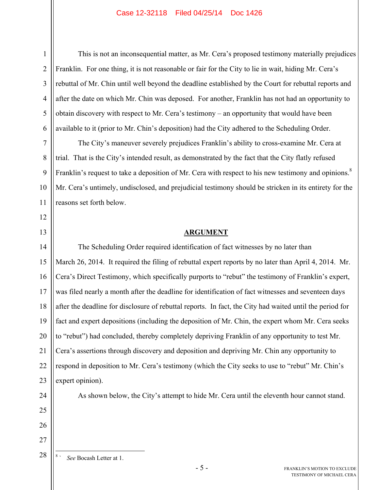This is not an inconsequential matter, as Mr. Cera's proposed testimony materially prejudices Franklin. For one thing, it is not reasonable or fair for the City to lie in wait, hiding Mr. Cera's rebuttal of Mr. Chin until well beyond the deadline established by the Court for rebuttal reports and after the date on which Mr. Chin was deposed. For another, Franklin has not had an opportunity to obtain discovery with respect to Mr. Cera's testimony – an opportunity that would have been available to it (prior to Mr. Chin's deposition) had the City adhered to the Scheduling Order.

The City's maneuver severely prejudices Franklin's ability to cross-examine Mr. Cera at trial. That is the City's intended result, as demonstrated by the fact that the City flatly refused Franklin's request to take a deposition of Mr. Cera with respect to his new testimony and opinions. $8$ Mr. Cera's untimely, undisclosed, and prejudicial testimony should be stricken in its entirety for the reasons set forth below.

### **ARGUMENT**

14 15 16 17 18 19 20 21 22 23 The Scheduling Order required identification of fact witnesses by no later than March 26, 2014. It required the filing of rebuttal expert reports by no later than April 4, 2014. Mr. Cera's Direct Testimony, which specifically purports to "rebut" the testimony of Franklin's expert, was filed nearly a month after the deadline for identification of fact witnesses and seventeen days after the deadline for disclosure of rebuttal reports. In fact, the City had waited until the period for fact and expert depositions (including the deposition of Mr. Chin, the expert whom Mr. Cera seeks to "rebut") had concluded, thereby completely depriving Franklin of any opportunity to test Mr. Cera's assertions through discovery and deposition and depriving Mr. Chin any opportunity to respond in deposition to Mr. Cera's testimony (which the City seeks to use to "rebut" Mr. Chin's expert opinion).

As shown below, the City's attempt to hide Mr. Cera until the eleventh hour cannot stand.

26 27 28

 $\overline{a}$ 

24

25

1

2

3

4

5

6

7

8

9

10

11

12

13

8 ` *See* Bocash Letter at 1.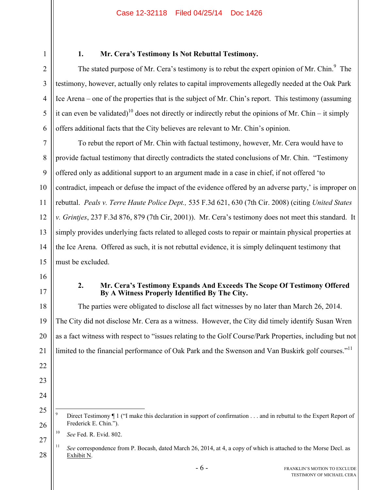1 2

3

4

5

6

# **1. Mr. Cera's Testimony Is Not Rebuttal Testimony.**

The stated purpose of Mr. Cera's testimony is to rebut the expert opinion of Mr. Chin. $9$  The testimony, however, actually only relates to capital improvements allegedly needed at the Oak Park Ice Arena – one of the properties that is the subject of Mr. Chin's report. This testimony (assuming it can even be validated)<sup>10</sup> does not directly or indirectly rebut the opinions of Mr. Chin – it simply offers additional facts that the City believes are relevant to Mr. Chin's opinion.

7 8 9 10 11 12 13 14 15 To rebut the report of Mr. Chin with factual testimony, however, Mr. Cera would have to provide factual testimony that directly contradicts the stated conclusions of Mr. Chin. "Testimony offered only as additional support to an argument made in a case in chief, if not offered 'to contradict, impeach or defuse the impact of the evidence offered by an adverse party,' is improper on rebuttal. *Peals v. Terre Haute Police Dept.,* 535 F.3d 621, 630 (7th Cir. 2008) (citing *United States v. Grintjes*, 237 F.3d 876, 879 (7th Cir, 2001)). Mr. Cera's testimony does not meet this standard. It simply provides underlying facts related to alleged costs to repair or maintain physical properties at the Ice Arena. Offered as such, it is not rebuttal evidence, it is simply delinquent testimony that must be excluded.

- 16
- 17

20

21

22

23

24

### **2. Mr. Cera's Testimony Expands And Exceeds The Scope Of Testimony Offered By A Witness Properly Identified By The City.**

18 19 The parties were obligated to disclose all fact witnesses by no later than March 26, 2014. The City did not disclose Mr. Cera as a witness. However, the City did timely identify Susan Wren as a fact witness with respect to "issues relating to the Golf Course/Park Properties, including but not limited to the financial performance of Oak Park and the Swenson and Van Buskirk golf courses."<sup>11</sup>

27 10 *See* Fed. R. Evid. 802.

<sup>25</sup> 26 -<br>9 Direct Testimony ¶ 1 ("I make this declaration in support of confirmation . . . and in rebuttal to the Expert Report of Frederick E. Chin.").

<sup>28</sup> <sup>11</sup> *See* correspondence from P. Bocash, dated March 26, 2014, at 4, a copy of which is attached to the Morse Decl. as Exhibit N.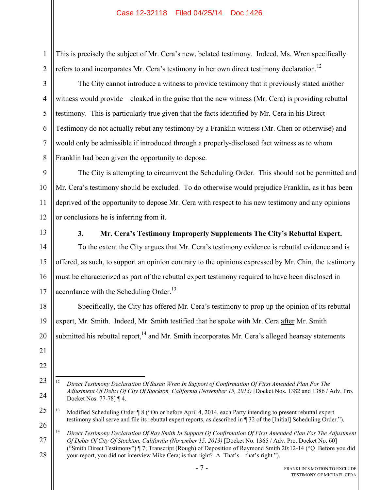This is precisely the subject of Mr. Cera's new, belated testimony. Indeed, Ms. Wren specifically refers to and incorporates Mr. Cera's testimony in her own direct testimony declaration.<sup>12</sup>

2 3

4

5

6

7

8

1

The City cannot introduce a witness to provide testimony that it previously stated another witness would provide – cloaked in the guise that the new witness (Mr. Cera) is providing rebuttal testimony. This is particularly true given that the facts identified by Mr. Cera in his Direct Testimony do not actually rebut any testimony by a Franklin witness (Mr. Chen or otherwise) and would only be admissible if introduced through a properly-disclosed fact witness as to whom Franklin had been given the opportunity to depose.

9 10 11 12 The City is attempting to circumvent the Scheduling Order. This should not be permitted and Mr. Cera's testimony should be excluded. To do otherwise would prejudice Franklin, as it has been deprived of the opportunity to depose Mr. Cera with respect to his new testimony and any opinions or conclusions he is inferring from it.

13

**3. Mr. Cera's Testimony Improperly Supplements The City's Rebuttal Expert.** 

14 15 16 17 To the extent the City argues that Mr. Cera's testimony evidence is rebuttal evidence and is offered, as such, to support an opinion contrary to the opinions expressed by Mr. Chin, the testimony must be characterized as part of the rebuttal expert testimony required to have been disclosed in accordance with the Scheduling Order.<sup>13</sup>

18 19 20 Specifically, the City has offered Mr. Cera's testimony to prop up the opinion of its rebuttal expert, Mr. Smith. Indeed, Mr. Smith testified that he spoke with Mr. Cera after Mr. Smith submitted his rebuttal report, $14$  and Mr. Smith incorporates Mr. Cera's alleged hearsay statements

- 21
- 22
- 23

24

 $12$ 12 *Direct Testimony Declaration Of Susan Wren In Support of Confirmation Of First Amended Plan For The Adjustment Of Debts Of City Of Stockton, California (November 15, 2013)* [Docket Nos. 1382 and 1386 / Adv. Pro. Docket Nos. 77-78] ¶ 4.

<sup>25</sup> 26 <sup>13</sup> Modified Scheduling Order ¶ 8 ("On or before April 4, 2014, each Party intending to present rebuttal expert testimony shall serve and file its rebuttal expert reports, as described in ¶ 32 of the [Initial] Scheduling Order.").

<sup>27</sup> 28 <sup>14</sup> *Direct Testimony Declaration Of Ray Smith In Support Of Confirmation Of First Amended Plan For The Adjustment Of Debts Of City Of Stockton, California (November 15, 2013)* [Docket No. 1365 / Adv. Pro. Docket No. 60] ("Smith Direct Testimony") ¶ 7; Transcript (Rough) of Deposition of Raymond Smith 20:12-14 ("Q Before you did your report, you did not interview Mike Cera; is that right? A That's – that's right.").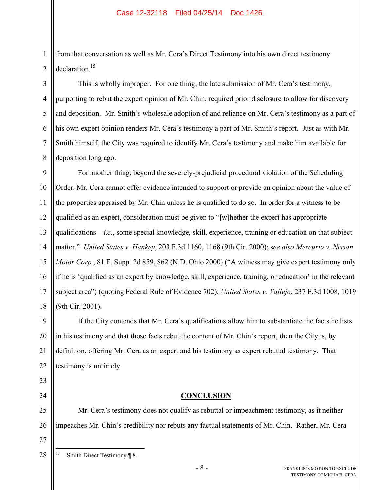from that conversation as well as Mr. Cera's Direct Testimony into his own direct testimony declaration.<sup>15</sup>

This is wholly improper. For one thing, the late submission of Mr. Cera's testimony, purporting to rebut the expert opinion of Mr. Chin, required prior disclosure to allow for discovery and deposition. Mr. Smith's wholesale adoption of and reliance on Mr. Cera's testimony as a part of his own expert opinion renders Mr. Cera's testimony a part of Mr. Smith's report. Just as with Mr. Smith himself, the City was required to identify Mr. Cera's testimony and make him available for deposition long ago.

9 10 11 12 13 14 15 16 17 18 For another thing, beyond the severely-prejudicial procedural violation of the Scheduling Order, Mr. Cera cannot offer evidence intended to support or provide an opinion about the value of the properties appraised by Mr. Chin unless he is qualified to do so. In order for a witness to be qualified as an expert, consideration must be given to "[w]hether the expert has appropriate qualifications—*i.e.*, some special knowledge, skill, experience, training or education on that subject matter." *United States v. Hankey*, 203 F.3d 1160, 1168 (9th Cir. 2000); s*ee also Mercurio v. Nissan Motor Corp.*, 81 F. Supp. 2d 859, 862 (N.D. Ohio 2000) ("A witness may give expert testimony only if he is 'qualified as an expert by knowledge, skill, experience, training, or education' in the relevant subject area") (quoting Federal Rule of Evidence 702); *United States v. Vallejo*, 237 F.3d 1008, 1019 (9th Cir. 2001).

19 20 21 22 If the City contends that Mr. Cera's qualifications allow him to substantiate the facts he lists in his testimony and that those facts rebut the content of Mr. Chin's report, then the City is, by definition, offering Mr. Cera as an expert and his testimony as expert rebuttal testimony. That testimony is untimely.

## **CONCLUSION**

Mr. Cera's testimony does not qualify as rebuttal or impeachment testimony, as it neither impeaches Mr. Chin's credibility nor rebuts any factual statements of Mr. Chin. Rather, Mr. Cera

28  $15$ Smith Direct Testimony ¶ 8.

1

2

3

4

5

6

7

8

23

24

25

26

27